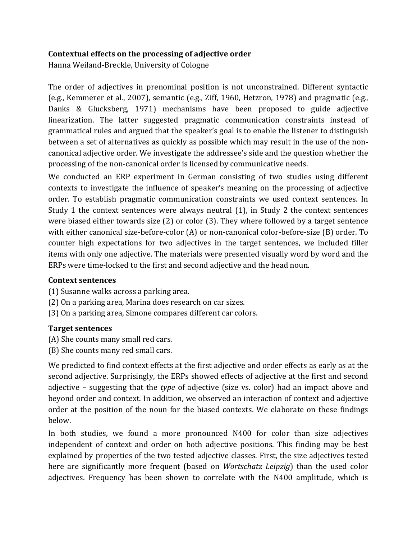## **Contextual effects on the processing of adjective order**

Hanna Weiland-Breckle, University of Cologne

The order of adjectives in prenominal position is not unconstrained. Different syntactic (e.g., Kemmerer et al., 2007), semantic (e.g., Ziff, 1960, Hetzron, 1978) and pragmatic (e.g., Danks & Glucksberg, 1971) mechanisms have been proposed to guide adjective linearization. The latter suggested pragmatic communication constraints instead of grammatical rules and argued that the speaker's goal is to enable the listener to distinguish between a set of alternatives as quickly as possible which may result in the use of the noncanonical adjective order. We investigate the addressee's side and the question whether the processing of the non-canonical order is licensed by communicative needs.

We conducted an ERP experiment in German consisting of two studies using different contexts to investigate the influence of speaker's meaning on the processing of adjective order. To establish pragmatic communication constraints we used context sentences. In Study 1 the context sentences were always neutral  $(1)$ , in Study 2 the context sentences were biased either towards size  $(2)$  or color  $(3)$ . They where followed by a target sentence with either canonical size-before-color  $(A)$  or non-canonical color-before-size  $(B)$  order. To counter high expectations for two adjectives in the target sentences, we included filler items with only one adjective. The materials were presented visually word by word and the ERPs were time-locked to the first and second adjective and the head noun.

## **Context sentences**

- (1) Susanne walks across a parking area.
- (2) On a parking area, Marina does research on car sizes.
- (3) On a parking area, Simone compares different car colors.

## **Target sentences**

- (A) She counts many small red cars.
- (B) She counts many red small cars.

We predicted to find context effects at the first adjective and order effects as early as at the second adjective. Surprisingly, the ERPs showed effects of adjective at the first and second adjective – suggesting that the *type* of adjective (size vs. color) had an impact above and beyond order and context. In addition, we observed an interaction of context and adjective order at the position of the noun for the biased contexts. We elaborate on these findings below.

In both studies, we found a more pronounced N400 for color than size adjectives independent of context and order on both adjective positions. This finding may be best explained by properties of the two tested adjective classes. First, the size adjectives tested here are significantly more frequent (based on *Wortschatz Leipzig*) than the used color adjectives. Frequency has been shown to correlate with the N400 amplitude, which is